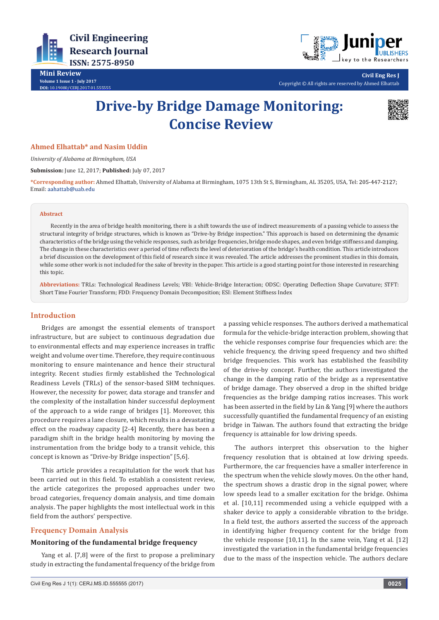



**Civil Eng Res J** Copyright © All rights are reserved by Ahmed Elhattab

# **Drive-by Bridge Damage Monitoring: Concise Review**



## **Ahmed Elhattab\* and Nasim Uddin**

*University of Alabama at Birmingham, USA*

**Submission:** June 12, 2017; **Published:** July 07, 2017

**\*Corresponding author:** Ahmed Elhattab, University of Alabama at Birmingham, 1075 13th St S, Birmingham, AL 35205, USA, Tel: Email: aahattab@uab.edu

#### **Abstract**

Recently in the area of bridge health monitoring, there is a shift towards the use of indirect measurements of a passing vehicle to assess the structural integrity of bridge structures, which is known as "Drive-by Bridge inspection." This approach is based on determining the dynamic characteristics of the bridge using the vehicle responses, such as bridge frequencies, bridge mode shapes, and even bridge stiffness and damping. The change in these characteristics over a period of time reflects the level of deterioration of the bridge's health condition. This article introduces a brief discussion on the development of this field of research since it was revealed. The article addresses the prominent studies in this domain, while some other work is not included for the sake of brevity in the paper. This article is a good starting point for those interested in researching this topic.

**Abbreviations:** TRLs: Technological Readiness Levels; VBI: Vehicle-Bridge Interaction; ODSC: Operating Deflection Shape Curvature; STFT: Short Time Fourier Transform; FDD: Frequency Domain Decomposition; ESI: Element Stiffness Index

#### **Introduction**

Bridges are amongst the essential elements of transport infrastructure, but are subject to continuous degradation due to environmental effects and may experience increases in traffic weight and volume over time. Therefore, they require continuous monitoring to ensure maintenance and hence their structural integrity. Recent studies firmly established the Technological Readiness Levels (TRLs) of the sensor-based SHM techniques. However, the necessity for power, data storage and transfer and the complexity of the installation hinder successful deployment of the approach to a wide range of bridges [1]. Moreover, this procedure requires a lane closure, which results in a devastating effect on the roadway capacity [2-4] Recently, there has been a paradigm shift in the bridge health monitoring by moving the instrumentation from the bridge body to a transit vehicle, this concept is known as "Drive-by Bridge inspection" [5,6].

This article provides a recapitulation for the work that has been carried out in this field. To establish a consistent review, the article categorizes the proposed approaches under two broad categories, frequency domain analysis, and time domain analysis. The paper highlights the most intellectual work in this field from the authors' perspective.

#### **Frequency Domain Analysis**

#### **Monitoring of the fundamental bridge frequency**

Yang et al. [7,8] were of the first to propose a preliminary study in extracting the fundamental frequency of the bridge from a passing vehicle responses. The authors derived a mathematical formula for the vehicle-bridge interaction problem, showing that the vehicle responses comprise four frequencies which are: the vehicle frequency, the driving speed frequency and two shifted bridge frequencies. This work has established the feasibility of the drive-by concept. Further, the authors investigated the change in the damping ratio of the bridge as a representative of bridge damage. They observed a drop in the shifted bridge frequencies as the bridge damping ratios increases. This work has been asserted in the field by Lin & Yang [9] where the authors successfully quantified the fundamental frequency of an existing bridge in Taiwan. The authors found that extracting the bridge frequency is attainable for low driving speeds.

The authors interpret this observation to the higher frequency resolution that is obtained at low driving speeds. Furthermore, the car frequencies have a smaller interference in the spectrum when the vehicle slowly moves. On the other hand, the spectrum shows a drastic drop in the signal power, where low speeds lead to a smaller excitation for the bridge. Oshima et al. [10,11] recommended using a vehicle equipped with a shaker device to apply a considerable vibration to the bridge. In a field test, the authors asserted the success of the approach in identifying higher frequency content for the bridge from the vehicle response [10,11]. In the same vein, Yang et al. [12] investigated the variation in the fundamental bridge frequencies due to the mass of the inspection vehicle. The authors declare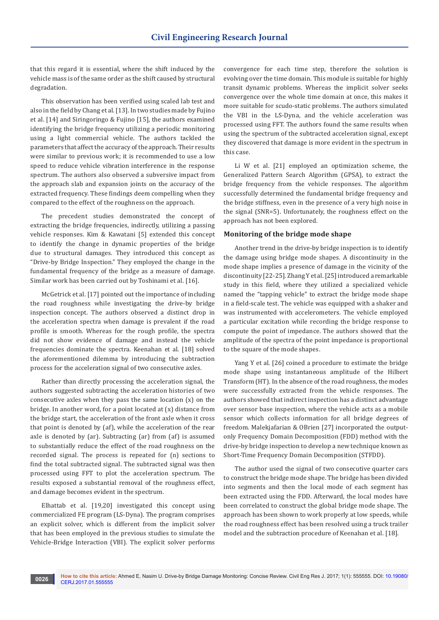that this regard it is essential, where the shift induced by the vehicle mass is of the same order as the shift caused by structural degradation.

This observation has been verified using scaled lab test and also in the field by Chang et al. [13]. In two studies made by Fujino et al. [14] and Siringoringo & Fujino [15], the authors examined identifying the bridge frequency utilizing a periodic monitoring using a light commercial vehicle. The authors tackled the parameters that affect the accuracy of the approach. Their results were similar to previous work; it is recommended to use a low speed to reduce vehicle vibration interference in the response spectrum. The authors also observed a subversive impact from the approach slab and expansion joints on the accuracy of the extracted frequency. These findings deem compelling when they compared to the effect of the roughness on the approach.

The precedent studies demonstrated the concept of extracting the bridge frequencies, indirectly, utilizing a passing vehicle responses. Kim & Kawatani [5] extended this concept to identify the change in dynamic properties of the bridge due to structural damages. They introduced this concept as "Drive-by Bridge Inspection." They employed the change in the fundamental frequency of the bridge as a measure of damage. Similar work has been carried out by Toshinami et al. [16].

McGetrick et al. [17] pointed out the importance of including the road roughness while investigating the drive-by bridge inspection concept. The authors observed a distinct drop in the acceleration spectra when damage is prevalent if the road profile is smooth. Whereas for the rough profile, the spectra did not show evidence of damage and instead the vehicle frequencies dominate the spectra. Keenahan et al. [18] solved the aforementioned dilemma by introducing the subtraction process for the acceleration signal of two consecutive axles.

Rather than directly processing the acceleration signal, the authors suggested subtracting the acceleration histories of two consecutive axles when they pass the same location (x) on the bridge. In another word, for a point located at (x) distance from the bridge start, the acceleration of the front axle when it cross that point is denoted by (af), while the acceleration of the rear axle is denoted by (ar). Subtracting (ar) from (af) is assumed to substantially reduce the effect of the road roughness on the recorded signal. The process is repeated for (n) sections to find the total subtracted signal. The subtracted signal was then processed using FFT to plot the acceleration spectrum. The results exposed a substantial removal of the roughness effect, and damage becomes evident in the spectrum.

Elhattab et al. [19,20] investigated this concept using commercialized FE program (LS-Dyna). The program comprises an explicit solver, which is different from the implicit solver that has been employed in the previous studies to simulate the Vehicle-Bridge Interaction (VBI). The explicit solver performs

convergence for each time step, therefore the solution is evolving over the time domain. This module is suitable for highly transit dynamic problems. Whereas the implicit solver seeks convergence over the whole time domain at once, this makes it more suitable for scudo-static problems. The authors simulated the VBI in the LS-Dyna, and the vehicle acceleration was processed using FFT. The authors found the same results when using the spectrum of the subtracted acceleration signal, except they discovered that damage is more evident in the spectrum in this case.

Li W et al. [21] employed an optimization scheme, the Generalized Pattern Search Algorithm (GPSA), to extract the bridge frequency from the vehicle responses. The algorithm successfully determined the fundamental bridge frequency and the bridge stiffness, even in the presence of a very high noise in the signal (SNR=5). Unfortunately, the roughness effect on the approach has not been explored.

#### **Monitoring of the bridge mode shape**

Another trend in the drive-by bridge inspection is to identify the damage using bridge mode shapes. A discontinuity in the mode shape implies a presence of damage in the vicinity of the discontinuity [22-25]. Zhang Y et al. [25] introduced a remarkable study in this field, where they utilized a specialized vehicle named the "tapping vehicle" to extract the bridge mode shape in a field-scale test. The vehicle was equipped with a shaker and was instrumented with accelerometers. The vehicle employed a particular excitation while recording the bridge response to compute the point of impedance. The authors showed that the amplitude of the spectra of the point impedance is proportional to the square of the mode shapes.

Yang Y et al. [26] coined a procedure to estimate the bridge mode shape using instantaneous amplitude of the Hilbert Transform (HT). In the absence of the road roughness, the modes were successfully extracted from the vehicle responses. The authors showed that indirect inspection has a distinct advantage over sensor base inspection, where the vehicle acts as a mobile sensor which collects information for all bridge degrees of freedom. Malekjafarian & OBrien [27] incorporated the outputonly Frequency Domain Decomposition (FDD) method with the drive-by bridge inspection to develop a new technique known as Short-Time Frequency Domain Decomposition (STFDD).

The author used the signal of two consecutive quarter cars to construct the bridge mode shape. The bridge has been divided into segments and then the local mode of each segment has been extracted using the FDD. Afterward, the local modes have been correlated to construct the global bridge mode shape. The approach has been shown to work properly at low speeds, while the road roughness effect has been resolved using a truck trailer model and the subtraction procedure of Keenahan et al. [18].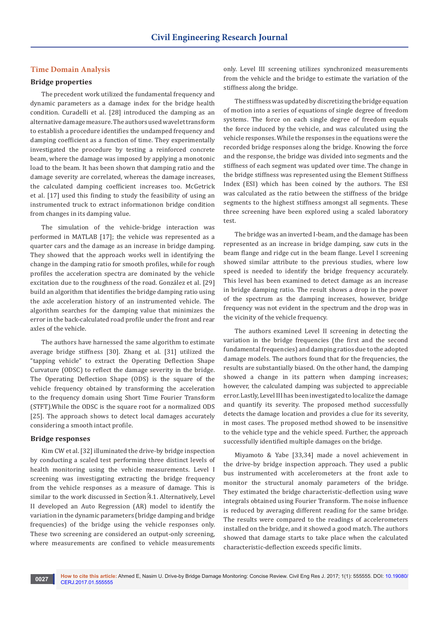# **Time Domain Analysis**

## **Bridge properties**

The precedent work utilized the fundamental frequency and dynamic parameters as a damage index for the bridge health condition. Curadelli et al. [28] introduced the damping as an alternative damage measure. The authors used wavelet transform to establish a procedure identifies the undamped frequency and damping coefficient as a function of time. They experimentally investigated the procedure by testing a reinforced concrete beam, where the damage was imposed by applying a monotonic load to the beam. It has been shown that damping ratio and the damage severity are correlated, whereas the damage increases, the calculated damping coefficient increases too. McGetrick et al. [17] used this finding to study the feasibility of using an instrumented truck to extract informationon bridge condition from changes in its damping value.

The simulation of the vehicle-bridge interaction was performed in MATLAB [17]; the vehicle was represented as a quarter cars and the damage as an increase in bridge damping. They showed that the approach works well in identifying the change in the damping ratio for smooth profiles, while for rough profiles the acceleration spectra are dominated by the vehicle excitation due to the roughness of the road. González et al. [29] build an algorithm that identifies the bridge damping ratio using the axle acceleration history of an instrumented vehicle. The algorithm searches for the damping value that minimizes the error in the back-calculated road profile under the front and rear axles of the vehicle.

The authors have harnessed the same algorithm to estimate average bridge stiffness [30]. Zhang et al. [31] utilized the "tapping vehicle" to extract the Operating Deflection Shape Curvature (ODSC) to reflect the damage severity in the bridge. The Operating Deflection Shape (ODS) is the square of the vehicle frequency obtained by transforming the acceleration to the frequency domain using Short Time Fourier Transform (STFT).While the ODSC is the square root for a normalized ODS [25]. The approach shows to detect local damages accurately considering a smooth intact profile.

#### **Bridge responses**

Kim CW et al. [32] illuminated the drive-by bridge inspection by conducting a scaled test performing three distinct levels of health monitoring using the vehicle measurements. Level I screening was investigating extracting the bridge frequency from the vehicle responses as a measure of damage. This is similar to the work discussed in Section 4.1. Alternatively, Level II developed an Auto Regression (AR) model to identify the variation in the dynamic parameters (bridge damping and bridge frequencies) of the bridge using the vehicle responses only. These two screening are considered an output-only screening, where measurements are confined to vehicle measurements

only. Level III screening utilizes synchronized measurements from the vehicle and the bridge to estimate the variation of the stiffness along the bridge.

The stiffness was updated by discretizing the bridge equation of motion into a series of equations of single degree of freedom systems. The force on each single degree of freedom equals the force induced by the vehicle, and was calculated using the vehicle responses. While the responses in the equations were the recorded bridge responses along the bridge. Knowing the force and the response, the bridge was divided into segments and the stiffness of each segment was updated over time. The change in the bridge stiffness was represented using the Element Stiffness Index (ESI) which has been coined by the authors. The ESI was calculated as the ratio between the stiffness of the bridge segments to the highest stiffness amongst all segments. These three screening have been explored using a scaled laboratory test.

The bridge was an inverted I-beam, and the damage has been represented as an increase in bridge damping, saw cuts in the beam flange and ridge cut in the beam flange. Level I screening showed similar attribute to the previous studies, where low speed is needed to identify the bridge frequency accurately. This level has been examined to detect damage as an increase in bridge damping ratio. The result shows a drop in the power of the spectrum as the damping increases, however, bridge frequency was not evident in the spectrum and the drop was in the vicinity of the vehicle frequency.

The authors examined Level II screening in detecting the variation in the bridge frequencies (the first and the second fundamental frequencies) and damping ratios due to the adopted damage models. The authors found that for the frequencies, the results are substantially biased. On the other hand, the damping showed a change in its pattern when damping increases; however, the calculated damping was subjected to appreciable error. Lastly, Level III has been investigated to localize the damage and quantify its severity. The proposed method successfully detects the damage location and provides a clue for its severity, in most cases. The proposed method showed to be insensitive to the vehicle type and the vehicle speed. Further, the approach successfully identified multiple damages on the bridge.

Miyamoto & Yabe [33,34] made a novel achievement in the drive-by bridge inspection approach. They used a public bus instrumented with accelerometers at the front axle to monitor the structural anomaly parameters of the bridge. They estimated the bridge characteristic-deflection using wave integrals obtained using Fourier Transform. The noise influence is reduced by averaging different reading for the same bridge. The results were compared to the readings of accelerometers installed on the bridge, and it showed a good match. The authors showed that damage starts to take place when the calculated characteristic-deflection exceeds specific limits.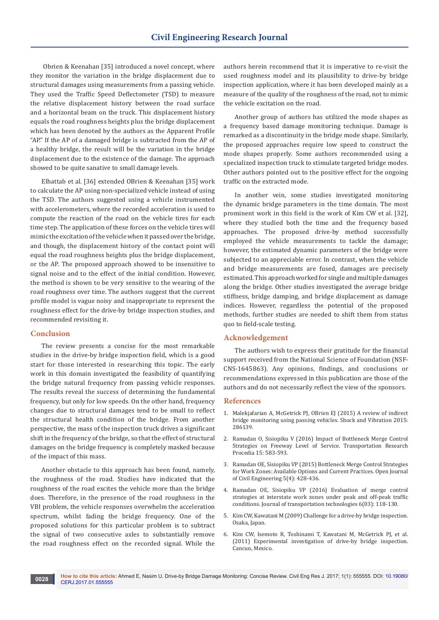Obrien & Keenahan [35] introduced a novel concept, where they monitor the variation in the bridge displacement due to structural damages using measurements from a passing vehicle. They used the Traffic Speed Deflectometer (TSD) to measure the relative displacement history between the road surface and a horizontal beam on the truck. This displacement history equals the road roughness heights plus the bridge displacement which has been denoted by the authors as the Apparent Profile "AP." If the AP of a damaged bridge is subtracted from the AP of a healthy bridge, the result will be the variation in the bridge displacement due to the existence of the damage. The approach showed to be quite sanative to small damage levels.

Elhattab et al. [36] extended OBrien & Keenahan [35] work to calculate the AP using non-specialized vehicle instead of using the TSD. The authors suggested using a vehicle instrumented with accelerometers, where the recorded acceleration is used to compute the reaction of the road on the vehicle tires for each time step. The application of these forces on the vehicle tires will mimic the excitation of the vehicle when it passed over the bridge, and though, the displacement history of the contact point will equal the road roughness heights plus the bridge displacement, or the AP. The proposed approach showed to be insensitive to signal noise and to the effect of the initial condition. However, the method is shown to be very sensitive to the wearing of the road roughness over time. The authors suggest that the current profile model is vague noisy and inappropriate to represent the roughness effect for the drive-by bridge inspection studies, and recommended revisiting it.

## **Conclusion**

The review presents a concise for the most remarkable studies in the drive-by bridge inspection field, which is a good start for those interested in researching this topic. The early work in this domain investigated the feasibility of quantifying the bridge natural frequency from passing vehicle responses. The results reveal the success of determining the fundamental frequency, but only for low speeds. On the other hand, frequency changes due to structural damages tend to be small to reflect the structural health condition of the bridge. From another perspective, the mass of the inspection truck drives a significant shift in the frequency of the bridge, so that the effect of structural damages on the bridge frequency is completely masked because of the impact of this mass.

Another obstacle to this approach has been found, namely, the roughness of the road. Studies have indicated that the roughness of the road excites the vehicle more than the bridge does. Therefore, in the presence of the road roughness in the VBI problem, the vehicle responses overwhelm the acceleration spectrum, whilst fading the bridge frequency. One of the proposed solutions for this particular problem is to subtract the signal of two consecutive axles to substantially remove the road roughness effect on the recorded signal. While the

authors herein recommend that it is imperative to re-visit the used roughness model and its plausibility to drive-by bridge inspection application, where it has been developed mainly as a measure of the quality of the roughness of the road, not to mimic the vehicle excitation on the road.

Another group of authors has utilized the mode shapes as a frequency based damage monitoring technique. Damage is remarked as a discontinuity in the bridge mode shape. Similarly, the proposed approaches require low speed to construct the mode shapes properly. Some authors recommended using a specialized inspection truck to stimulate targeted bridge modes. Other authors pointed out to the positive effect for the ongoing traffic on the extracted mode.

In another vein, some studies investigated monitoring the dynamic bridge parameters in the time domain. The most prominent work in this field is the work of Kim CW et al. [32], where they studied both the time and the frequency based approaches. The proposed drive-by method successfully employed the vehicle measurements to tackle the damage; however, the estimated dynamic parameters of the bridge were subjected to an appreciable error. In contrast, when the vehicle and bridge measurements are fused, damages are precisely estimated. This approach worked for single and multiple damages along the bridge. Other studies investigated the average bridge stiffness, bridge damping, and bridge displacement as damage indices. However, regardless the potential of the proposed methods, further studies are needed to shift them from status quo to field-scale testing.

#### **Acknowledgement**

The authors wish to express their gratitude for the financial support received from the National Science of Foundation (NSF-CNS-1645863). Any opinions, findings, and conclusions or recommendations expressed in this publication are those of the authors and do not necessarily reflect the view of the sponsors.

#### **References**

- 1. [Malekjafarian A, McGetrick PJ, OBrien EJ \(2015\) A review of indirect](http://pure.qub.ac.uk/portal/files/17173736/286139.pdf)  [bridge monitoring using passing vehicles. Shock and Vibration 2015:](http://pure.qub.ac.uk/portal/files/17173736/286139.pdf)  [286139.](http://pure.qub.ac.uk/portal/files/17173736/286139.pdf)
- 2. Ramadan O, Sisiopiku V (2016) Impact of Bottleneck Merge Control Strategies on Freeway Level of Service. Transportation Research Procedia 15: 583-593.
- 3. [Ramadan OE, Sisiopiku VP \(2015\) Bottleneck Merge Control Strategies](http://www.scirp.org/journal/PaperInformation.aspx?PaperID=62139)  [for Work Zones: Available Options and Current Practices. Open Journal](http://www.scirp.org/journal/PaperInformation.aspx?PaperID=62139)  [of Civil Engineering 5\(4\): 428-436.](http://www.scirp.org/journal/PaperInformation.aspx?PaperID=62139)
- 4. [Ramadan OE, Sisiopiku VP \(2016\) Evaluation of merge control](http://www.scirp.org/journal/PaperInformation.aspx?PaperID=65555)  [strategies at interstate work zones under peak and off-peak traffic](http://www.scirp.org/journal/PaperInformation.aspx?PaperID=65555)  [conditions. Journal of transportation technologies 6\(03\): 118-130.](http://www.scirp.org/journal/PaperInformation.aspx?PaperID=65555)
- 5. [Kim CW, Kawatani M \(2009\) Challenge for a drive-by bridge inspection.](https://www.tib.eu/en/search/id/BLCP%3ACN077348233/Challenge-for-a-drive-by-bridge-inspection/)  [Osaka, Japan.](https://www.tib.eu/en/search/id/BLCP%3ACN077348233/Challenge-for-a-drive-by-bridge-inspection/)
- 6. [Kim CW, Isemoto R, Toshinami T, Kawatani M, McGetrick PJ, et al.](http://pure.qub.ac.uk/portal/en/publications/experimental-investigation-of-driveby-bridge-inspection(22fc8c36-898e-4b4c-acc3-681adb544340)/export.html)  [\(2011\) Experimental investigation of drive-by bridge inspection.](http://pure.qub.ac.uk/portal/en/publications/experimental-investigation-of-driveby-bridge-inspection(22fc8c36-898e-4b4c-acc3-681adb544340)/export.html)  [Cancun, Mexico.](http://pure.qub.ac.uk/portal/en/publications/experimental-investigation-of-driveby-bridge-inspection(22fc8c36-898e-4b4c-acc3-681adb544340)/export.html)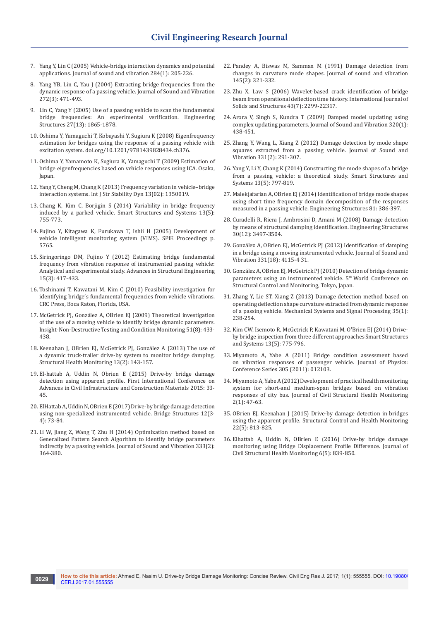- 7. [Yang Y, Lin C \(2005\) Vehicle-bridge interaction dynamics and potential](http://adsabs.harvard.edu/abs/2005JSV...284..205Y)  [applications. Journal of sound and vibration 284\(1\): 205-226.](http://adsabs.harvard.edu/abs/2005JSV...284..205Y)
- 8. Yang YB, Lin C, Yau J (2004) Extracting bridge frequencies from the dynamic response of a passing vehicle. Journal of Sound and Vibration 272(3): 471-493.
- 9. Lin C, Yang Y (2005) Use of a passing vehicle to scan the fundamental bridge frequencies: An experimental verification. Engineering Structures 27(13): 1865-1878.
- 10. [Oshima Y, Yamaguchi T, Kobayashi Y, Sugiura K \(2008\) Eigenfrequency](http://www.crcnetbase.com/doi/pdfplus/10.1201/9781439828434.ch376)  [estimation for bridges using the response of a passing vehicle with](http://www.crcnetbase.com/doi/pdfplus/10.1201/9781439828434.ch376)  [excitation system. doi.org/10.1201/9781439828434.ch376.](http://www.crcnetbase.com/doi/pdfplus/10.1201/9781439828434.ch376)
- 11. [Oshima Y, Yamamoto K, Sugiura K, Yamaguchi T \(2009\) Estimation of](https://www.tib.eu/en/search/id/BLCP%3ACN077348268/Estimation-of-bridge-eigenfrequencies-based-on/)  [bridge eigenfrequencies based on vehicle responses using ICA. Osaka,](https://www.tib.eu/en/search/id/BLCP%3ACN077348268/Estimation-of-bridge-eigenfrequencies-based-on/)  [Japan.](https://www.tib.eu/en/search/id/BLCP%3ACN077348268/Estimation-of-bridge-eigenfrequencies-based-on/)
- 12. [Yang Y, Cheng M, Chang K \(2013\) Frequency variation in vehicle–bridge](http://www.worldscientific.com/doi/abs/10.1142/S0219455413500193)  [interaction systems. Int J Str Stability Dyn 13\(02\): 1350019.](http://www.worldscientific.com/doi/abs/10.1142/S0219455413500193)
- 13. [Chang K, Kim C, Borjigin S \(2014\) Variability in bridge frequency](http://www.koreascience.or.kr/article/ArticleFullRecord.jsp?cn=KJKHFZ_2014_v13n5_755)  [induced by a parked vehicle. Smart Structures and Systems 13\(5\):](http://www.koreascience.or.kr/article/ArticleFullRecord.jsp?cn=KJKHFZ_2014_v13n5_755)  [755-773.](http://www.koreascience.or.kr/article/ArticleFullRecord.jsp?cn=KJKHFZ_2014_v13n5_755)
- 14. [Fujino Y, Kitagawa K, Furukawa T, Ishii H \(2005\) Development of](http://spie.org/Publications/Proceedings/Paper/10.1117/12.601727)  [vehicle intelligent monitoring system \(VIMS\). SPIE Proceedings p.](http://spie.org/Publications/Proceedings/Paper/10.1117/12.601727)  [5765.](http://spie.org/Publications/Proceedings/Paper/10.1117/12.601727)
- 15. [Siringoringo DM, Fujino Y \(2012\) Estimating bridge fundamental](http://journals.sagepub.com/doi/abs/10.1260/1369-4332.15.3.417?journalCode=asea)  [frequency from vibration response of instrumented passing vehicle:](http://journals.sagepub.com/doi/abs/10.1260/1369-4332.15.3.417?journalCode=asea)  [Analytical and experimental study. Advances in Structural Engineering](http://journals.sagepub.com/doi/abs/10.1260/1369-4332.15.3.417?journalCode=asea)  [15\(3\): 417-433.](http://journals.sagepub.com/doi/abs/10.1260/1369-4332.15.3.417?journalCode=asea)
- 16. [Toshinami T, Kawatani M, Kim C \(2010\) Feasibility investigation for](http://www.crcnetbase.com/doi/abs/10.1201/b10430-42/)  [identifying bridge's fundamental frequencies from vehicle vibrations.](http://www.crcnetbase.com/doi/abs/10.1201/b10430-42/)  [CRC Press, Boca Raton, Florida, USA.](http://www.crcnetbase.com/doi/abs/10.1201/b10430-42/)
- 17. [McGetrick PJ, González A, OBrien EJ \(2009\) Theoretical investigation](http://researchrepository.ucd.ie/bitstream/handle/10197/2552/Theoretical.pdf?sequence=1.pdf)  [of the use of a moving vehicle to identify bridge dynamic parameters.](http://researchrepository.ucd.ie/bitstream/handle/10197/2552/Theoretical.pdf?sequence=1.pdf)  [Insight-Non-Destructive Testing and Condition Monitoring 51\(8\): 433-](http://researchrepository.ucd.ie/bitstream/handle/10197/2552/Theoretical.pdf?sequence=1.pdf) [438.](http://researchrepository.ucd.ie/bitstream/handle/10197/2552/Theoretical.pdf?sequence=1.pdf)
- 18. [Keenahan J, OBrien EJ, McGetrick PJ, González A \(2013\) The use of](http://pure.qub.ac.uk/portal/files/17180760/20140224_The_use_of_a_dynamic_truck_trailer_drive_by_system_to_monitor_bridge_damping.pdf)  [a dynamic truck-trailer drive-by system to monitor bridge damping.](http://pure.qub.ac.uk/portal/files/17180760/20140224_The_use_of_a_dynamic_truck_trailer_drive_by_system_to_monitor_bridge_damping.pdf)  [Structural Health Monitoring 13\(2\): 143-157.](http://pure.qub.ac.uk/portal/files/17180760/20140224_The_use_of_a_dynamic_truck_trailer_drive_by_system_to_monitor_bridge_damping.pdf)
- 19. El-hattab A, Uddin N, Obrien E (2015) Drive-by bridge damage detection using apparent profile. First International Conference on Advances in Civil Infrastructure and Construction Materials 2015: 33- 45.
- 20. [ElHattab A, Uddin N, OBrien E \(2017\) Drive-by bridge damage detection](http://content.iospress.com/articles/bridge-structures/brs106)  [using non-specialized instrumented vehicle. Bridge Structures 12\(3-](http://content.iospress.com/articles/bridge-structures/brs106) [4\): 73-84.](http://content.iospress.com/articles/bridge-structures/brs106)
- 21. Li W, Jiang Z, Wang T, Zhu H (2014) Optimization method based on Generalized Pattern Search Algorithm to identify bridge parameters indirectly by a passing vehicle. Journal of Sound and Vibration 333(2): 364-380.
- 22. [Pandey A, Biswas M, Samman M \(1991\) Damage detection from](http://adsabs.harvard.edu/abs/1991JSV...145..321P)  [changes in curvature mode shapes. Journal of sound and vibration](http://adsabs.harvard.edu/abs/1991JSV...145..321P)  [145\(2\): 321-332.](http://adsabs.harvard.edu/abs/1991JSV...145..321P)
- 23. [Zhu X, Law S \(2006\) Wavelet-based crack identification of bridge](http://ira.lib.polyu.edu.hk/handle/10397/22255?mode=simple)  [beam from operational deflection time history. International Journal of](http://ira.lib.polyu.edu.hk/handle/10397/22255?mode=simple)  [Solids and Structures 43\(7\): 2299-22317.](http://ira.lib.polyu.edu.hk/handle/10397/22255?mode=simple)
- 24. Arora V, Singh S, Kundra T (2009) Damped model updating using complex updating parameters. Journal of Sound and Vibration 320(1): 438-451.
- 25. [Zhang Y, Wang L, Xiang Z \(2012\) Damage detection by mode shape](http://adsabs.harvard.edu/abs/2012JSV...331..291Z)  [squares extracted from a passing vehicle. Journal of Sound and](http://adsabs.harvard.edu/abs/2012JSV...331..291Z)  [Vibration 331\(2\): 291-307.](http://adsabs.harvard.edu/abs/2012JSV...331..291Z)
- 26. [Yang Y, Li Y, Chang K \(2014\) Constructing the mode shapes of a bridge](http://koreascience.or.kr/article/ArticleFullRecord.jsp?cn=KJKHFZ_2014_v13n5_797)  [from a passing vehicle: a theoretical study. Smart Structures and](http://koreascience.or.kr/article/ArticleFullRecord.jsp?cn=KJKHFZ_2014_v13n5_797)  [Systems 13\(5\): 797-819.](http://koreascience.or.kr/article/ArticleFullRecord.jsp?cn=KJKHFZ_2014_v13n5_797)
- 27. [Malekjafarian A, OBrien EJ \(2014\) Identification of bridge mode shapes](http://researchrepository.ucd.ie/handle/10197/6931)  [using short time frequency domain decomposition of the responses](http://researchrepository.ucd.ie/handle/10197/6931)  [measured in a passing vehicle. Engineering Structures 81: 386-397.](http://researchrepository.ucd.ie/handle/10197/6931)
- 28. Curadelli R, Riera J, Ambrosini D, Amani M (2008) Damage detection by means of structural damping identification. Engineering Structures 30(12): 3497-3504.
- 29. [González A, OBrien EJ, McGetrick PJ \(2012\) Identification of damping](http://irserver.ucd.ie/bitstream/handle/10197/4861/J63%20-%20rep%20vers.pdf?sequence=2)  [in a bridge using a moving instrumented vehicle. Journal of Sound and](http://irserver.ucd.ie/bitstream/handle/10197/4861/J63%20-%20rep%20vers.pdf?sequence=2)  [Vibration 331\(18\): 4115-4 31.](http://irserver.ucd.ie/bitstream/handle/10197/4861/J63%20-%20rep%20vers.pdf?sequence=2)
- 30. [González A, OBrien EJ, McGetrick PJ \(2010\) Detection of bridge dynamic](http://pure.qub.ac.uk/portal/files/17181769/20100505_5WCSCM_paper.pdf)  parameters using an instrumented vehicle. 5<sup>th</sup> World Conference on [Structural Control and Monitoring, Tokyo, Japan.](http://pure.qub.ac.uk/portal/files/17181769/20100505_5WCSCM_paper.pdf)
- 31. Zhang Y, Lie ST, Xiang Z (2013) Damage detection method based on operating deflection shape curvature extracted from dynamic response of a passing vehicle. Mechanical Systems and Signal Processing 35(1): 238-254.
- 32. [Kim CW, Isemoto R, McGetrick P, Kawatani M, O'Brien EJ \(2014\) Drive](http://pure.qub.ac.uk/portal/files/17180792/20130801_SSS_manuscript.pdf)[by bridge inspection from three different approaches Smart Structures](http://pure.qub.ac.uk/portal/files/17180792/20130801_SSS_manuscript.pdf)  [and Systems 13\(5\): 775-796.](http://pure.qub.ac.uk/portal/files/17180792/20130801_SSS_manuscript.pdf)
- 33. [Miyamoto A, Yabe A \(2011\) Bridge condition assessment based](http://iopscience.iop.org/article/10.1088/1742-6596/305/1/012103/pdf)  [on vibration responses of passenger vehicle. Journal of Physics:](http://iopscience.iop.org/article/10.1088/1742-6596/305/1/012103/pdf)  [Conference Series 305 \(2011\): 012103.](http://iopscience.iop.org/article/10.1088/1742-6596/305/1/012103/pdf)
- 34. [Miyamoto A, Yabe A \(2012\) Development of practical health monitoring](https://link.springer.com/article/10.1007/s13349-012-0017-0)  [system for short-and medium-span bridges based on vibration](https://link.springer.com/article/10.1007/s13349-012-0017-0)  [responses of city bus. Journal of Civil Structural Health Monitoring](https://link.springer.com/article/10.1007/s13349-012-0017-0)  [2\(1\): 47-63.](https://link.springer.com/article/10.1007/s13349-012-0017-0)
- 35. OBrien EJ, Keenahan J (2015) Drive-by damage detection in bridges using the apparent profile. Structural Control and Health Monitoring 22(5): 813-825.
- 36. [Elhattab A, Uddin N, OBrien E \(2016\) Drive-by bridge damage](https://link.springer.com/article/10.1007/s13349-016-0203-6)  [monitoring using Bridge Displacement Profile Difference. Journal of](https://link.springer.com/article/10.1007/s13349-016-0203-6)  [Civil Structural Health Monitoring 6\(5\): 839-850.](https://link.springer.com/article/10.1007/s13349-016-0203-6)